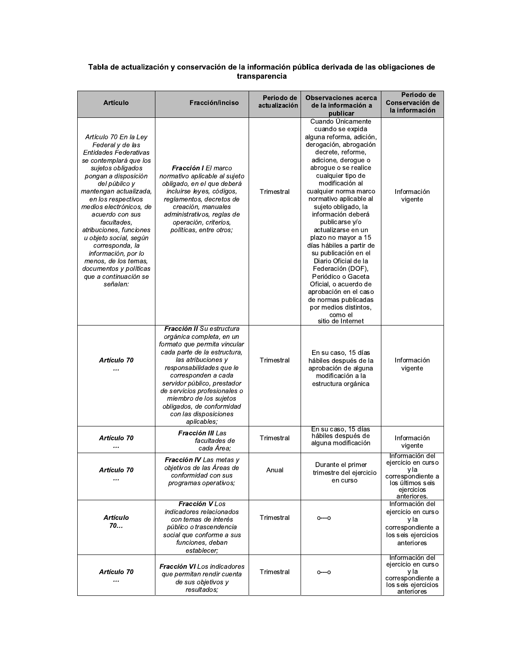## Tabla de actualización y conservación de la información pública derivada de las obligaciones de<br>transparencia

| <b>Artículo</b>                                                                                                                                                                                                                                                                                                                                                                                                                                               | Fracción/inciso                                                                                                                                                                                                                                                                                                                                              | Periodo de<br>actualización | <b>Observaciones acerca</b><br>de la información a<br>publicar                                                                                                                                                                                                                                                                                                                                                                                                                                                                                                                                                                   | Periodo de<br>Conservación de<br>la información                                                                     |
|---------------------------------------------------------------------------------------------------------------------------------------------------------------------------------------------------------------------------------------------------------------------------------------------------------------------------------------------------------------------------------------------------------------------------------------------------------------|--------------------------------------------------------------------------------------------------------------------------------------------------------------------------------------------------------------------------------------------------------------------------------------------------------------------------------------------------------------|-----------------------------|----------------------------------------------------------------------------------------------------------------------------------------------------------------------------------------------------------------------------------------------------------------------------------------------------------------------------------------------------------------------------------------------------------------------------------------------------------------------------------------------------------------------------------------------------------------------------------------------------------------------------------|---------------------------------------------------------------------------------------------------------------------|
| Artículo 70 En la Ley<br>Federal y de las<br>Entidades Federativas<br>se contemplará que los<br>sujetos obligados<br>pongan a disposición<br>del público y<br>mantengan actualizada,<br>en los respectivos<br>medios electrónicos, de<br>acuerdo con sus<br>facultades.<br>atribuciones, funciones<br>u objeto social, según<br>corresponda, la<br>información, por lo<br>menos, de los temas,<br>documentos y políticas<br>que a continuación se<br>señalan: | <b>Fracción I</b> El marco<br>normativo aplicable al sujeto<br>obligado, en el que deberá<br>incluirse leyes, códigos,<br>reglamentos, decretos de<br>creación, manuales<br>administrativos, reglas de<br>operación, criterios,<br>políticas, entre otros;                                                                                                   | Trimestral                  | Cuando Unicamente<br>cuando se expida<br>alguna reforma, adición,<br>derogación, abrogación<br>decrete, reforme,<br>adicione, derogue o<br>abrogue o se realice<br>cualquier tipo de<br>modificación al<br>cualquier norma marco<br>normativo aplicable al<br>sujeto obligado, la<br>información deberá<br>publicarse y/o<br>actualizarse en un<br>plazo no mayor a 15<br>días hábiles a partir de<br>su publicación en el<br>Diario Oficial de la<br>Federación (DOF),<br>Periódico o Gaceta<br>Oficial, o acuerdo de<br>aprobación en el caso<br>de normas publicadas<br>por medios distintos,<br>como el<br>sitio de Internet | Información<br>vigente                                                                                              |
| Artículo 70<br>                                                                                                                                                                                                                                                                                                                                                                                                                                               | Fracción II Su estructura<br>orgánica completa, en un<br>formato que permita vincular<br>cada parte de la estructura,<br>las atribuciones y<br>responsabilidades que le<br>corresponden a cada<br>servidor público, prestador<br>de servicios profesionales o<br>miembro de los sujetos<br>obligados, de conformidad<br>con las disposiciones<br>aplicables; | Trimestral                  | En su caso, 15 días<br>hábiles después de la<br>aprobación de alguna<br>modificación a la<br>estructura orgánica                                                                                                                                                                                                                                                                                                                                                                                                                                                                                                                 | Información<br>vigente                                                                                              |
| Artículo 70                                                                                                                                                                                                                                                                                                                                                                                                                                                   | Fracción III Las<br>facultades de<br>cada Área:                                                                                                                                                                                                                                                                                                              | Trimestral                  | En su caso, 15 días<br>hábiles después de<br>alguna modificación                                                                                                                                                                                                                                                                                                                                                                                                                                                                                                                                                                 | Información<br>vigente                                                                                              |
| Artículo 70<br>                                                                                                                                                                                                                                                                                                                                                                                                                                               | Fracción IV Las metas y<br>objetivos de las Areas de<br>conformidad con sus<br>programas operativos;                                                                                                                                                                                                                                                         | Anual                       | Durante el primer<br>trimestre del ejercicio<br>en curso                                                                                                                                                                                                                                                                                                                                                                                                                                                                                                                                                                         | Información del<br>ejercicio en curso<br>y la<br>correspondiente a<br>los últimos seis<br>ejercicios<br>anteriores. |
| Artículo<br>70.                                                                                                                                                                                                                                                                                                                                                                                                                                               | Fracción V Los<br>indicadores relacionados<br>con temas de interés<br>público o trascendencia<br>social que conforme a sus<br>funciones, deban<br>establecer;                                                                                                                                                                                                | Trimestral                  | $O^{---}O$                                                                                                                                                                                                                                                                                                                                                                                                                                                                                                                                                                                                                       | Información del<br>ejercicio en curso<br>y la<br>correspondiente a<br>los seis ejercicios<br>anteriores             |
| Artículo 70<br>                                                                                                                                                                                                                                                                                                                                                                                                                                               | <b>Fracción VI</b> Los indicadores<br>que permitan rendir cuenta<br>de sus objetivos y<br>resultados:                                                                                                                                                                                                                                                        | Trimestral                  | $O^{--}O$                                                                                                                                                                                                                                                                                                                                                                                                                                                                                                                                                                                                                        | Información del<br>ejercicio en curso<br>y la<br>correspondiente a<br>los seis ejercicios<br>anteriores             |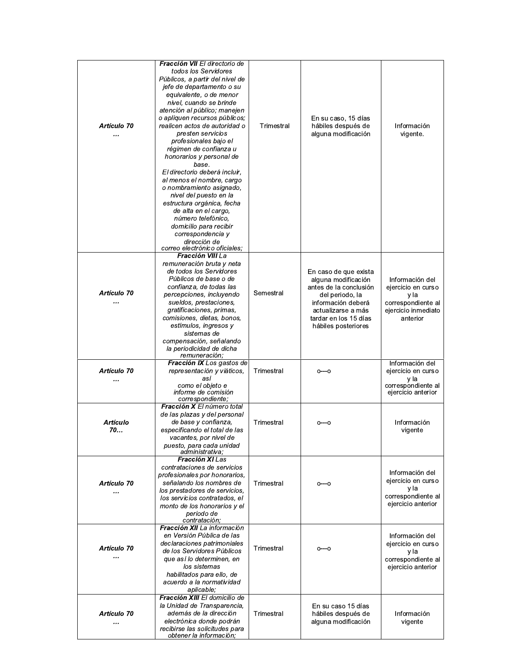| Artículo 70<br>        | Fracción VII El directorio de<br>todos los Servidores<br>Públicos, a partir del nivel de<br>jefe de departamento o su<br>equivalente, o de menor<br>nivel, cuando se brinde<br>atención al público; manejen<br>o apliquen recursos públicos;<br>realicen actos de autoridad o<br>presten servicios<br>profesionales bajo el<br>régimen de confianza u<br>honorarios y personal de<br>base.<br>El directorio deberá incluir,<br>al menos el nombre, cargo<br>o nombramiento asignado,<br>nivel del puesto en la<br>estructura orgánica, fecha<br>de alta en el cargo,<br>número telefónico,<br>domicilio para recibir<br>correspondencia y<br>dirección de<br>correo electrónico oficiales; | Trimestral | En su caso, 15 días<br>hábiles después de<br>alguna modificación                                                                                                                      | Información<br>vigente.                                                                                |
|------------------------|--------------------------------------------------------------------------------------------------------------------------------------------------------------------------------------------------------------------------------------------------------------------------------------------------------------------------------------------------------------------------------------------------------------------------------------------------------------------------------------------------------------------------------------------------------------------------------------------------------------------------------------------------------------------------------------------|------------|---------------------------------------------------------------------------------------------------------------------------------------------------------------------------------------|--------------------------------------------------------------------------------------------------------|
| Artículo 70<br>        | Fracción VIII La<br>remuneración bruta y neta<br>de todos los Servidores<br>Públicos de base o de<br>confianza, de todas las<br>percepciones, incluyendo<br>sueldos, prestaciones,<br>gratificaciones, primas,<br>comisiones, dietas, bonos,<br>estímulos, ingresos y<br>sistemas de<br>compensación, señalando<br>la periodicidad de dicha                                                                                                                                                                                                                                                                                                                                                | Semestral  | En caso de que exista<br>alguna modificación<br>antes de la conclusión<br>del periodo, la<br>información deberá<br>actualizarse a más<br>tardar en los 15 días<br>hábiles posteriores | Información del<br>ejercicio en curso<br>y la<br>correspondiente al<br>ejercicio inmediato<br>anterior |
| Artículo 70<br>        | remuneración;<br>Fracción IX Los gastos de<br>representación y viáticos,<br>así<br>como el objeto e<br>informe de comisión                                                                                                                                                                                                                                                                                                                                                                                                                                                                                                                                                                 | Trimestral | $0^{--}0$                                                                                                                                                                             | Información del<br>ejercicio en curso<br>y la<br>correspondiente al<br>ejercicio anterior              |
| Artículo<br>70         | correspondiente;<br>Fracción X El número total<br>de las plazas y del personal<br>de base y confianza,<br>especificando el total de las<br>vacantes, por nivel de<br>puesto, para cada unidad<br>administrativa:                                                                                                                                                                                                                                                                                                                                                                                                                                                                           | Trimestral | 0---0                                                                                                                                                                                 | Información<br>vigente                                                                                 |
| Artículo 70<br>        | Fracción XI Las<br>contrataciones de servicios<br>profesionales por honorarios,<br>señalando los nombres de<br>los prestadores de servicios.<br>los servicios contratados, el<br>monto de los honorarios y el<br>periodo de<br>contratación:                                                                                                                                                                                                                                                                                                                                                                                                                                               | Trimestral | $O^{--}O$                                                                                                                                                                             | Información del<br>ejercicio en curso<br>y la<br>correspondiente al<br>ejercicio anterior              |
| <b>Artículo 70</b><br> | Fracción XII La información<br>en Versión Pública de las<br>declaraciones patrimoniales<br>de los Servidores Públicos<br>que así lo determinen, en<br>los sistemas<br>habilitados para ello, de<br>acuerdo a la normatividad<br>aplicable;                                                                                                                                                                                                                                                                                                                                                                                                                                                 | Trimestral | $O^{--}O$                                                                                                                                                                             | Información del<br>ejercicio en curso<br>y la<br>correspondiente al<br>ejercicio anterior              |
| Artículo 70<br>        | <b>Fracción XIII</b> El domicilio de<br>la Unidad de Transparencia,<br>además de la dirección<br>electrónica donde podrán<br>recibirse las solicitudes para<br>obtener la información:                                                                                                                                                                                                                                                                                                                                                                                                                                                                                                     | Trimestral | En su caso 15 días<br>hábiles después de<br>alguna modificación                                                                                                                       | Información<br>vigente                                                                                 |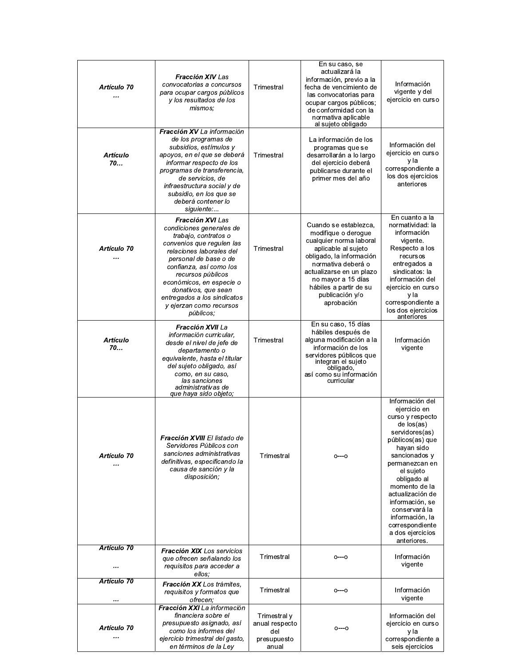| Artículo 70<br>       | <b>Fracción XIV</b> Las<br>convocatorias a concursos<br>para ocupar cargos públicos<br>y los resultados de los<br>mismos;                                                                                                                                                                                                               | Trimestral                                                    | En su caso, se<br>actualizará la<br>información, previo a la<br>fecha de vencimiento de<br>las convocatorias para<br>ocupar cargos públicos;<br>de conformidad con la<br>normativa aplicable<br>al sujeto obligado                                            | Información<br>vigente y del<br>ejercicio en curso                                                                                                                                                                                                                                                                                     |
|-----------------------|-----------------------------------------------------------------------------------------------------------------------------------------------------------------------------------------------------------------------------------------------------------------------------------------------------------------------------------------|---------------------------------------------------------------|---------------------------------------------------------------------------------------------------------------------------------------------------------------------------------------------------------------------------------------------------------------|----------------------------------------------------------------------------------------------------------------------------------------------------------------------------------------------------------------------------------------------------------------------------------------------------------------------------------------|
| <b>Artículo</b><br>70 | Fracción XV La información<br>de los programas de<br>subsidios, estímulos y<br>apoyos, en el que se deberá<br>informar respecto de los<br>programas de transferencia,<br>de servicios, de<br>infraestructura social y de<br>subsidio, en los que se<br>deberá contener lo<br>siguiente:                                                 | Trimestral                                                    | La información de los<br>programas que se<br>desarrollarán a lo largo<br>del ejercicio deberá<br>publicarse durante el<br>primer mes del año                                                                                                                  | Información del<br>ejercicio en curso<br>y la<br>correspondiente a<br>los dos ejercicios<br>anteriores                                                                                                                                                                                                                                 |
| Artículo 70<br>       | <b>Fracción XVI</b> Las<br>condiciones generales de<br>trabajo, contratos o<br>convenios que regulen las<br>relaciones laborales del<br>personal de base o de<br>confianza, así como los<br>recursos públicos<br>económicos, en especie o<br>donativos, que sean<br>entregados a los sindicatos<br>y ejerzan como recursos<br>públicos; | Trimestral                                                    | Cuando se establezca,<br>modifique o derogue<br>cualquier norma laboral<br>aplicable al sujeto<br>obligado, la información<br>normativa deberá o<br>actualizarse en un plazo<br>no mayor a 15 días<br>hábiles a partir de su<br>publicación y/o<br>aprobación | En cuanto a la<br>normatividad: la<br>información<br>vigente.<br>Respecto a los<br>recursos<br>entregados a<br>sindicatos: la<br>información del<br>ejercicio en curso<br>y la<br>correspondiente a<br>los dos ejercicios<br>anteriores                                                                                                |
| <b>Artículo</b><br>70 | <b>Fracción XVII</b> La<br>información curricular,<br>desde el nivel de jefe de<br>departamento o<br>equivalente, hasta el titular<br>del sujeto obligado, así<br>como, en su caso,<br>las sanciones<br>administrativas de<br>que haya sido objeto;                                                                                     | Trimestral                                                    | En su caso, 15 días<br>hábiles después de<br>alguna modificación a la<br>información de los<br>servidores públicos que<br>integran el sujeto<br>obligado,<br>así como su información<br>curricular                                                            | Información<br>vigente                                                                                                                                                                                                                                                                                                                 |
| Artículo 70<br>       | <b>Fracción XVIII</b> El listado de<br>Servidores Públicos con<br>sanciones administrativas<br>definitivas, especificando la<br>causa de sanción y la<br>disposición;                                                                                                                                                                   | Trimestral                                                    | $O^{--}O$                                                                                                                                                                                                                                                     | Información del<br>ejercicio en<br>curso y respecto<br>de los(as)<br>servidores(as)<br>públicos(as) que<br>hayan sido<br>sancionados y<br>permanezcan en<br>el sujeto<br>obligado al<br>momento de la<br>actualización de<br>información, se<br>conservará la<br>información, la<br>correspondiente<br>a dos ejercicios<br>anteriores. |
| Artículo 70<br>       | <b>Fracción XIX</b> Los servicios<br>que ofrecen señalando los<br>requisitos para acceder a<br>ellos:                                                                                                                                                                                                                                   | Trimestral                                                    | $O^{---}O$                                                                                                                                                                                                                                                    | Información<br>vigente                                                                                                                                                                                                                                                                                                                 |
| Artículo 70           | Fracción XX Los trámites,<br>requisitos y formatos que<br>ofrecen;                                                                                                                                                                                                                                                                      | Trimestral                                                    | $0^{--}0$                                                                                                                                                                                                                                                     | Información<br>vigente                                                                                                                                                                                                                                                                                                                 |
| Artículo 70<br>       | Fracción XXI La información<br>financiera sobre el<br>presupuesto asignado, así<br>como los informes del<br>ejercicio trimestral del gasto,<br>en términos de la Ley                                                                                                                                                                    | Trimestral y<br>anual respecto<br>del<br>presupuesto<br>anual | $O^{---}O$                                                                                                                                                                                                                                                    | Información del<br>ejercicio en curso<br>y la<br>correspondiente a<br>seis ejercicios                                                                                                                                                                                                                                                  |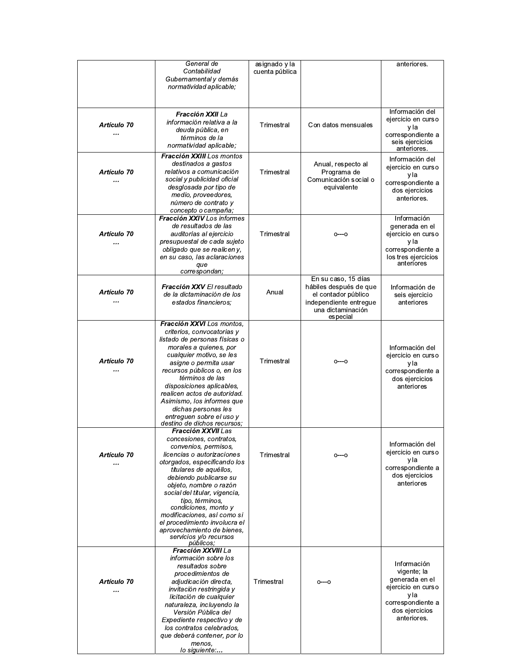|             | General de                                                 | asignado y la  |                                               | anteriores.                |
|-------------|------------------------------------------------------------|----------------|-----------------------------------------------|----------------------------|
|             | Contabilidad                                               | cuenta pública |                                               |                            |
|             | Gubernamental y demás<br>normatividad aplicable;           |                |                                               |                            |
|             |                                                            |                |                                               |                            |
|             |                                                            |                |                                               |                            |
|             | Fracción XXII La                                           |                |                                               | Información del            |
| Artículo 70 | información relativa a la                                  | Trimestral     | Con datos mensuales                           | ejercicio en curso         |
|             | deuda pública, en                                          |                |                                               | y la<br>correspondiente a  |
|             | términos de la                                             |                |                                               | seis ejercicios            |
|             | normatividad aplicable:                                    |                |                                               | anteriores.                |
|             | Fracción XXIII Los montos<br>destinados a gastos           |                | Anual, respecto al                            | Información del            |
| Artículo 70 | relativos a comunicación                                   | Trimestral     | Programa de                                   | ejercicio en curso         |
|             | social y publicidad oficial                                |                | Comunicación social o                         | y la<br>correspondiente a  |
|             | desglosada por tipo de                                     |                | equivalente                                   | dos ejercicios             |
|             | medio, proveedores,                                        |                |                                               | anteriores.                |
|             | número de contrato y<br>concepto o campaña;                |                |                                               |                            |
|             | Fracción XXIV Los informes                                 |                |                                               | Información                |
|             | de resultados de las                                       |                |                                               | generada en el             |
| Artículo 70 | auditorías al ejercicio                                    | Trimestral     | $O^{---}O$                                    | ejercicio en curso         |
| $\ddotsc$   | presupuestal de cada sujeto<br>obligado que se realicen y, |                |                                               | y la<br>correspondiente a  |
|             | en su caso, las aclaraciones                               |                |                                               | los tres ejercicios        |
|             | que                                                        |                |                                               | anteriores                 |
|             | correspondan;                                              |                |                                               |                            |
|             | Fracción XXV El resultado                                  |                | En su caso, 15 días<br>hábiles después de que | Información de             |
| Artículo 70 | de la dictaminación de los                                 | Anual          | el contador público                           | seis ejercicio             |
|             | estados financieros;                                       |                | independiente entregue                        | anteriores                 |
|             |                                                            |                | una dictaminación                             |                            |
|             | Fracción XXVI Los montos.                                  |                | especial                                      |                            |
|             | criterios, convocatorias y                                 |                |                                               |                            |
|             | listado de personas físicas o                              |                |                                               |                            |
|             | morales a quienes, por                                     |                |                                               | Información del            |
| Artículo 70 | cualquier motivo, se les<br>asigne o permita usar          | Trimestral     | $O^{---}O$                                    | ejercicio en curso<br>y la |
|             | recursos públicos o, en los                                |                |                                               | correspondiente a          |
|             | términos de las                                            |                |                                               | dos ejercicios             |
|             | disposiciones aplicables,                                  |                |                                               | anteriores                 |
|             | realicen actos de autoridad.<br>Asimismo, los informes que |                |                                               |                            |
|             | dichas personas les                                        |                |                                               |                            |
|             | entreguen sobre el uso y                                   |                |                                               |                            |
|             | destino de dichos recursos;<br><b>Fracción XXVII</b> Las   |                |                                               |                            |
|             | concesiones, contratos,                                    |                |                                               |                            |
|             | convenios, permisos,                                       |                |                                               | Información del            |
| Artículo 70 | licencias o autorizaciones                                 | Trimestral     | $0 - 0$                                       | ejercicio en curso         |
|             | otorgados, especificando los                               |                |                                               | y la<br>correspondiente a  |
|             | titulares de aquéllos,<br>debiendo publicarse su           |                |                                               | dos ejercicios             |
|             | objeto, nombre o razón                                     |                |                                               | anteriores                 |
|             | social del titular, vigencia,                              |                |                                               |                            |
|             | tipo, términos,<br>condiciones, monto y                    |                |                                               |                            |
|             | modificaciones, así como si                                |                |                                               |                            |
|             | el procedimiento involucra el                              |                |                                               |                            |
|             | aprovechamiento de bienes,                                 |                |                                               |                            |
|             | servicios y/o recursos<br>públicos;                        |                |                                               |                            |
|             | Fracción XXVIII La                                         |                |                                               |                            |
|             | información sobre los                                      |                |                                               | Información                |
|             | resultados sobre<br>procedimientos de                      |                |                                               | vigente; la                |
| Artículo 70 | adjudicación directa,                                      | Trimestral     | 0---0                                         | generada en el             |
|             | invitación restringida y                                   |                |                                               | ejercicio en curso         |
|             | licitación de cualquier                                    |                |                                               | y la<br>correspondiente a  |
|             | naturaleza, incluyendo la<br>Versión Pública del           |                |                                               | dos ejercicios             |
|             | Expediente respectivo y de                                 |                |                                               | anteriores.                |
|             | los contratos celebrados,                                  |                |                                               |                            |
|             | que deberá contener, por lo                                |                |                                               |                            |
|             | menos.<br>lo siguiente:                                    |                |                                               |                            |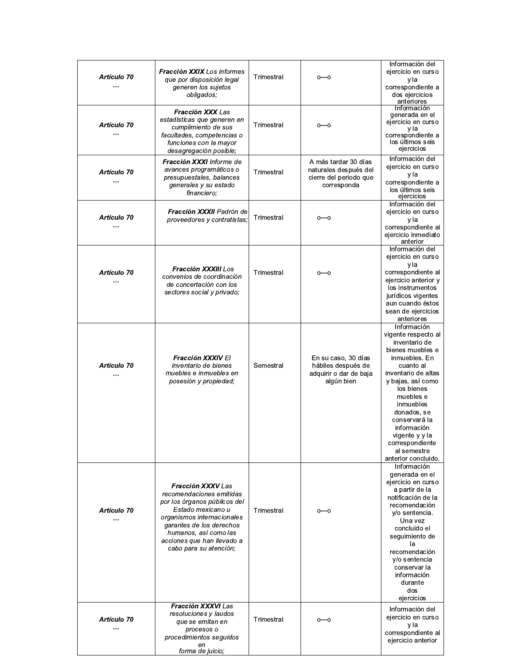| Artículo 70<br>        | <b>Fracción XXIX</b> Los informes<br>que por disposición legal<br>generen los sujetos<br>obligados;                                                                                                                                                  | Trimestral | 0---0                                                                                  | Información del<br>ejercicio en curso<br>y la<br>correspondiente a<br>dos ejercicios<br>anteriores                                                                                                                                                                                                                  |
|------------------------|------------------------------------------------------------------------------------------------------------------------------------------------------------------------------------------------------------------------------------------------------|------------|----------------------------------------------------------------------------------------|---------------------------------------------------------------------------------------------------------------------------------------------------------------------------------------------------------------------------------------------------------------------------------------------------------------------|
| <b>Artículo 70</b><br> | Fracción XXX Las<br>estadísticas que generen en<br>cumplimiento de sus<br>facultades, competencias o<br>funciones con la mayor<br>desagregación posible;                                                                                             | Trimestral | $0--0$                                                                                 | Información<br>generada en el<br>ejercicio en curso<br>y la<br>correspondiente a<br>los últimos seis<br>ejercicios                                                                                                                                                                                                  |
| Artículo 70            | Fracción XXXI Informe de<br>avances programáticos o<br>presupuestales, balances<br>generales y su estado<br>financiero;                                                                                                                              | Trimestral | A más tardar 30 días<br>naturales después del<br>cierre del periodo que<br>corresponda | Información del<br>ejercicio en curso<br>y la<br>correspondiente a<br>los últimos seis<br>ejercicios                                                                                                                                                                                                                |
| <b>Artículo 70</b><br> | Fracción XXXII Padrón de<br>proveedores y contratistas;                                                                                                                                                                                              | Trimestral | $O^{--}O$                                                                              | Información del<br>ejercicio en curso<br>y la<br>correspondiente al<br>ejercicio inmediato<br>anterior                                                                                                                                                                                                              |
| Artículo 70<br>        | <b>Fracción XXXIII</b> Los<br>convenios de coordinación<br>de concertación con los<br>sectores social y privado;                                                                                                                                     | Trimestral | 0---0                                                                                  | Información del<br>ejercicio en curso<br>y la<br>correspondiente al<br>ejercicio anterior y<br>los instrumentos<br>jurídicos vigentes<br>aun cuando éstos<br>sean de ejercicios<br>anteriores                                                                                                                       |
| Artículo 70<br>        | <b>Fracción XXXIV</b> El<br>inventario de bienes<br>muebles e inmuebles en<br>posesión y propiedad;                                                                                                                                                  | Semestral  | En su caso, 30 días<br>hábiles después de<br>adquirir o dar de baja<br>algún bien      | Información<br>vigente respecto al<br>inventario de<br>bienes muebles e<br>inmuebles. En<br>cuanto al<br>inventario de altas<br>y bajas, así como<br>los bienes<br>muebles e<br>inmuebles<br>donados, se<br>conservará la<br>información<br>vigente y y la<br>correspondiente<br>al semestre<br>anterior concluido. |
| Artículo 70<br>        | <b>Fracción XXXV</b> Las<br>recomendaciones emitidas<br>por los órganos públicos del<br>Estado mexicano u<br>organismos internacionales<br>garantes de los derechos<br>humanos, así como las<br>acciones que han llevado a<br>cabo para su atención; | Trimestral | 0---0                                                                                  | Información<br>generada en el<br>ejercicio en curso<br>a partir de la<br>notificación de la<br>recomendación<br>y/o sentencia.<br>Una vez<br>concluido el<br>seguimiento de<br>la<br>recomendación<br>y/o sentencia<br>conservar la<br>información<br>durante<br>dos<br>ejercicios                                  |
| Artículo 70<br>        | <b>Fracción XXXVI</b> Las<br>resoluciones y laudos<br>que se emitan en<br>procesos o<br>procedimientos seguidos<br>en<br>forma de juicio:                                                                                                            | Trimestral | $0^{---}0$                                                                             | Información del<br>ejercicio en curso<br>y la<br>correspondiente al<br>ejercicio anterior                                                                                                                                                                                                                           |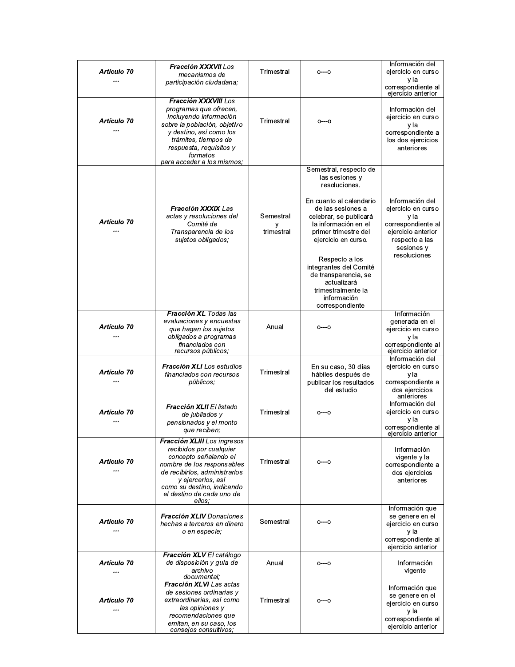| Artículo 70<br>          | Fracción XXXVII Los<br>mecanismos de<br>participación ciudadana;                                                                                                                                                                         | Trimestral                   | 0---0                                                                                                                                                                                                                                                                                                                                                 | Información del<br>ejercicio en curso<br>y la<br>correspondiente al<br>ejercicio anterior                                                 |
|--------------------------|------------------------------------------------------------------------------------------------------------------------------------------------------------------------------------------------------------------------------------------|------------------------------|-------------------------------------------------------------------------------------------------------------------------------------------------------------------------------------------------------------------------------------------------------------------------------------------------------------------------------------------------------|-------------------------------------------------------------------------------------------------------------------------------------------|
| Artículo 70<br>          | Fracción XXXVIII Los<br>programas que ofrecen,<br>incluvendo información<br>sobre la población, objetivo<br>y destino, así como los<br>trámites, tiempos de<br>respuesta, requisitos y<br>formatos<br>para acceder a los mismos:         | Trimestral                   | 0---0                                                                                                                                                                                                                                                                                                                                                 | Información del<br>ejercicio en curso<br>y la<br>correspondiente a<br>los dos ejercicios<br>anteriores                                    |
| Artículo 70<br>          | <b>Fracción XXXIX</b> Las<br>actas y resoluciones del<br>Comité de<br>Transparencia de los<br>sujetos obligados;                                                                                                                         | Semestral<br>У<br>trimestral | Semestral, respecto de<br>las sesiones y<br>resoluciones.<br>En cuanto al calendario<br>de las sesiones a<br>celebrar, se publicará<br>la información en el<br>primer trimestre del<br>ejercicio en curso.<br>Respecto a los<br>integrantes del Comité<br>de transparencia, se<br>actualizará<br>trimestralmente la<br>información<br>correspondiente | Información del<br>ejercicio en curso<br>y la<br>correspondiente al<br>ejercicio anterior<br>respecto a las<br>sesiones v<br>resoluciones |
| <b>Artículo 70</b><br>   | Fracción XL Todas las<br>evaluaciones y encuestas<br>que hagan los sujetos<br>obligados a programas<br>financiados con<br>recursos públicos;                                                                                             | Anual                        | $O^{--}O$                                                                                                                                                                                                                                                                                                                                             | Información<br>generada en el<br>ejercicio en curso<br>y la<br>correspondiente al<br>ejercicio anterior                                   |
| Artículo 70<br>          | <b>Fracción XLI</b> Los estudios<br>financiados con recursos<br>públicos;                                                                                                                                                                | Trimestral                   | En su caso, 30 días<br>hábiles después de<br>publicar los resultados<br>del estudio                                                                                                                                                                                                                                                                   | Información del<br>ejercicio en curso<br>y la<br>correspondiente a<br>dos ejercicios<br>anteriores                                        |
| Artículo 70              | Fracción XLII El listado<br>de jubilados y<br>pensionados y el monto<br>que reciben;                                                                                                                                                     | Trimestral                   | $0^{--}0$                                                                                                                                                                                                                                                                                                                                             | Información del<br>ejercicio en curso<br>y la<br>correspondiente al<br>ejercicio anterior                                                 |
| Artículo 70<br>          | Fracción XLIII Los ingresos<br>recibidos por cualquier<br>concepto señalando el<br>nombre de los responsables<br>de recibirlos, administrarlos<br>y ejercerlos, así<br>como su destino, indicando<br>el destino de cada uno de<br>ellos: | Trimestral                   | $0^{--}0$                                                                                                                                                                                                                                                                                                                                             | Información<br>vigente y la<br>correspondiente a<br>dos ejercicios<br>anteriores                                                          |
| Artículo 70<br>          | <b>Fracción XLIV</b> Donaciones<br>hechas a terceros en dinero<br>o en especie;                                                                                                                                                          | Semestral                    | 0---0                                                                                                                                                                                                                                                                                                                                                 | Información que<br>se genere en el<br>ejercicio en curso<br>y la<br>correspondiente al<br>ejercicio anterior                              |
| Artículo 70<br>$\ddotsc$ | Fracción XLV El catálogo<br>de disposición y guía de<br>archivo<br>documental;                                                                                                                                                           | Anual                        | $0^{--}0$                                                                                                                                                                                                                                                                                                                                             | Información<br>vigente                                                                                                                    |
| <b>Artículo 70</b><br>   | Fracción XLVI Las actas<br>de sesiones ordinarias y<br>extraordinarias, así como<br>las opiniones y<br>recomendaciones que<br>emitan, en su caso, los<br>consejos consultivos;                                                           | Trimestral                   | $O^{--}O$                                                                                                                                                                                                                                                                                                                                             | Información que<br>se genere en el<br>ejercicio en curso<br>y la<br>correspondiente al<br>ejercicio anterior                              |